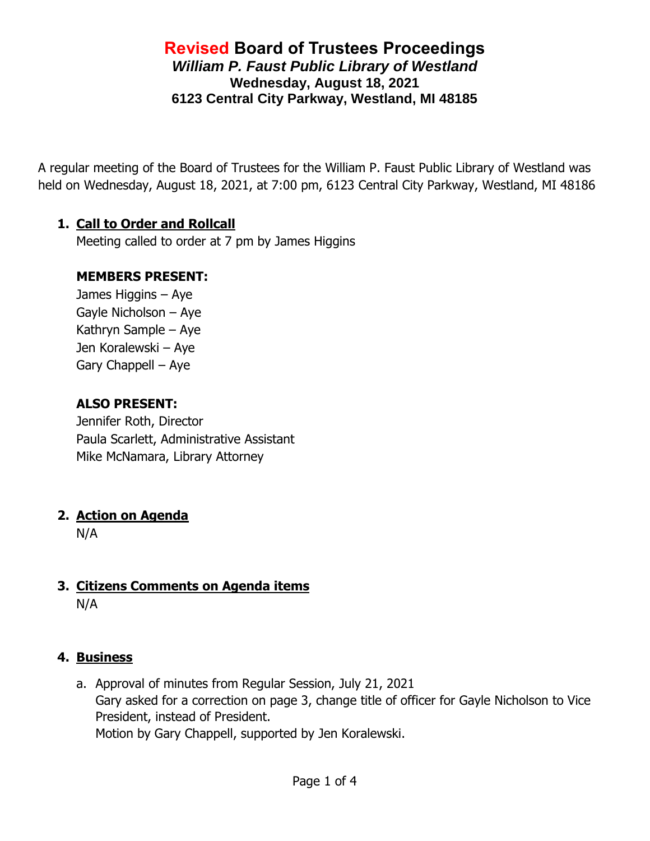### **Revised Board of Trustees Proceedings** *William P. Faust Public Library of Westland* **Wednesday, August 18, 2021 6123 Central City Parkway, Westland, MI 48185**

A regular meeting of the Board of Trustees for the William P. Faust Public Library of Westland was held on Wednesday, August 18, 2021, at 7:00 pm, 6123 Central City Parkway, Westland, MI 48186

### **1. Call to Order and Rollcall**

Meeting called to order at 7 pm by James Higgins

### **MEMBERS PRESENT:**

James Higgins – Aye Gayle Nicholson – Aye Kathryn Sample – Aye Jen Koralewski – Aye Gary Chappell – Aye

### **ALSO PRESENT:**

Jennifer Roth, Director Paula Scarlett, Administrative Assistant Mike McNamara, Library Attorney

### **2. Action on Agenda**

N/A

### **3. Citizens Comments on Agenda items** N/A

#### **4. Business**

a. Approval of minutes from Regular Session, July 21, 2021 Gary asked for a correction on page 3, change title of officer for Gayle Nicholson to Vice President, instead of President. Motion by Gary Chappell, supported by Jen Koralewski.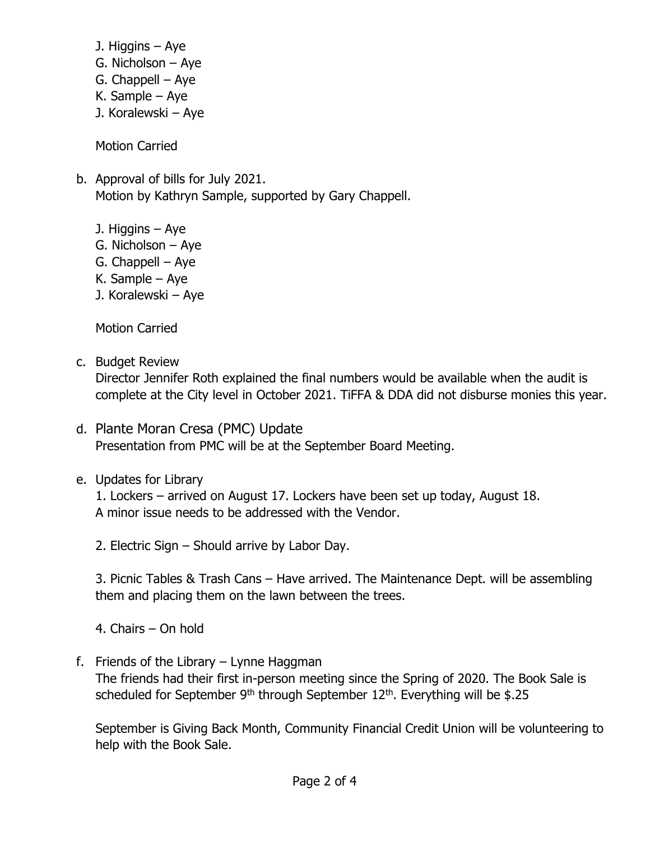- J. Higgins Aye
- G. Nicholson Aye
- G. Chappell Aye
- K. Sample Aye
- J. Koralewski Aye

Motion Carried

- b. Approval of bills for July 2021. Motion by Kathryn Sample, supported by Gary Chappell.
	- J. Higgins Aye
	- G. Nicholson Aye
	- G. Chappell Aye
	- K. Sample Aye
	- J. Koralewski Aye

Motion Carried

c. Budget Review

Director Jennifer Roth explained the final numbers would be available when the audit is complete at the City level in October 2021. TiFFA & DDA did not disburse monies this year.

- d. Plante Moran Cresa (PMC) Update Presentation from PMC will be at the September Board Meeting.
- e. Updates for Library

1. Lockers – arrived on August 17. Lockers have been set up today, August 18. A minor issue needs to be addressed with the Vendor.

2. Electric Sign – Should arrive by Labor Day.

3. Picnic Tables & Trash Cans – Have arrived. The Maintenance Dept. will be assembling them and placing them on the lawn between the trees.

4. Chairs – On hold

f. Friends of the Library – Lynne Haggman

The friends had their first in-person meeting since the Spring of 2020. The Book Sale is scheduled for September 9<sup>th</sup> through September  $12<sup>th</sup>$ . Everything will be \$.25

September is Giving Back Month, Community Financial Credit Union will be volunteering to help with the Book Sale.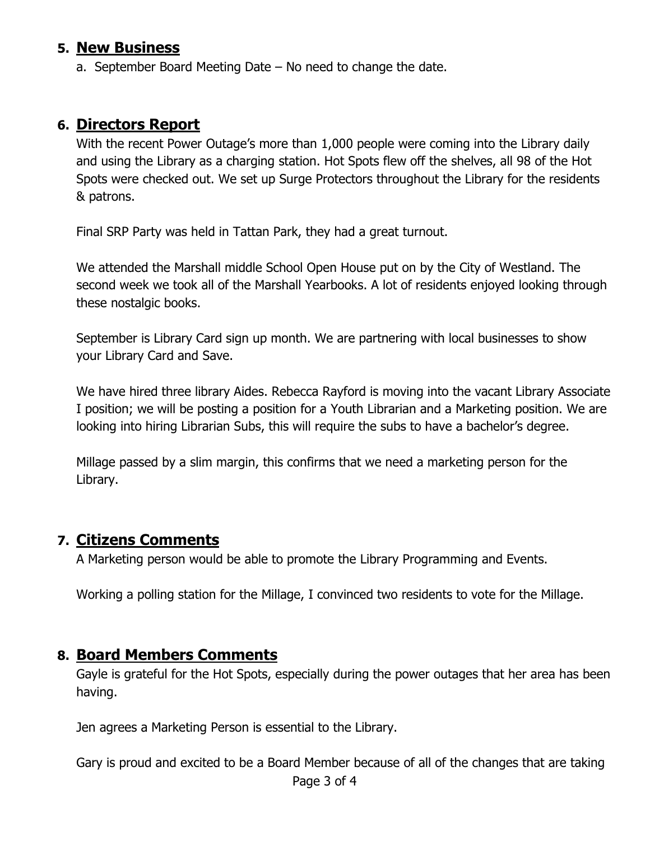### **5. New Business**

a. September Board Meeting Date – No need to change the date.

### **6. Directors Report**

With the recent Power Outage's more than 1,000 people were coming into the Library daily and using the Library as a charging station. Hot Spots flew off the shelves, all 98 of the Hot Spots were checked out. We set up Surge Protectors throughout the Library for the residents & patrons.

Final SRP Party was held in Tattan Park, they had a great turnout.

We attended the Marshall middle School Open House put on by the City of Westland. The second week we took all of the Marshall Yearbooks. A lot of residents enjoyed looking through these nostalgic books.

September is Library Card sign up month. We are partnering with local businesses to show your Library Card and Save.

We have hired three library Aides. Rebecca Rayford is moving into the vacant Library Associate I position; we will be posting a position for a Youth Librarian and a Marketing position. We are looking into hiring Librarian Subs, this will require the subs to have a bachelor's degree.

Millage passed by a slim margin, this confirms that we need a marketing person for the Library.

### **7. Citizens Comments**

A Marketing person would be able to promote the Library Programming and Events.

Working a polling station for the Millage, I convinced two residents to vote for the Millage.

### **8. Board Members Comments**

Gayle is grateful for the Hot Spots, especially during the power outages that her area has been having.

Jen agrees a Marketing Person is essential to the Library.

Gary is proud and excited to be a Board Member because of all of the changes that are taking